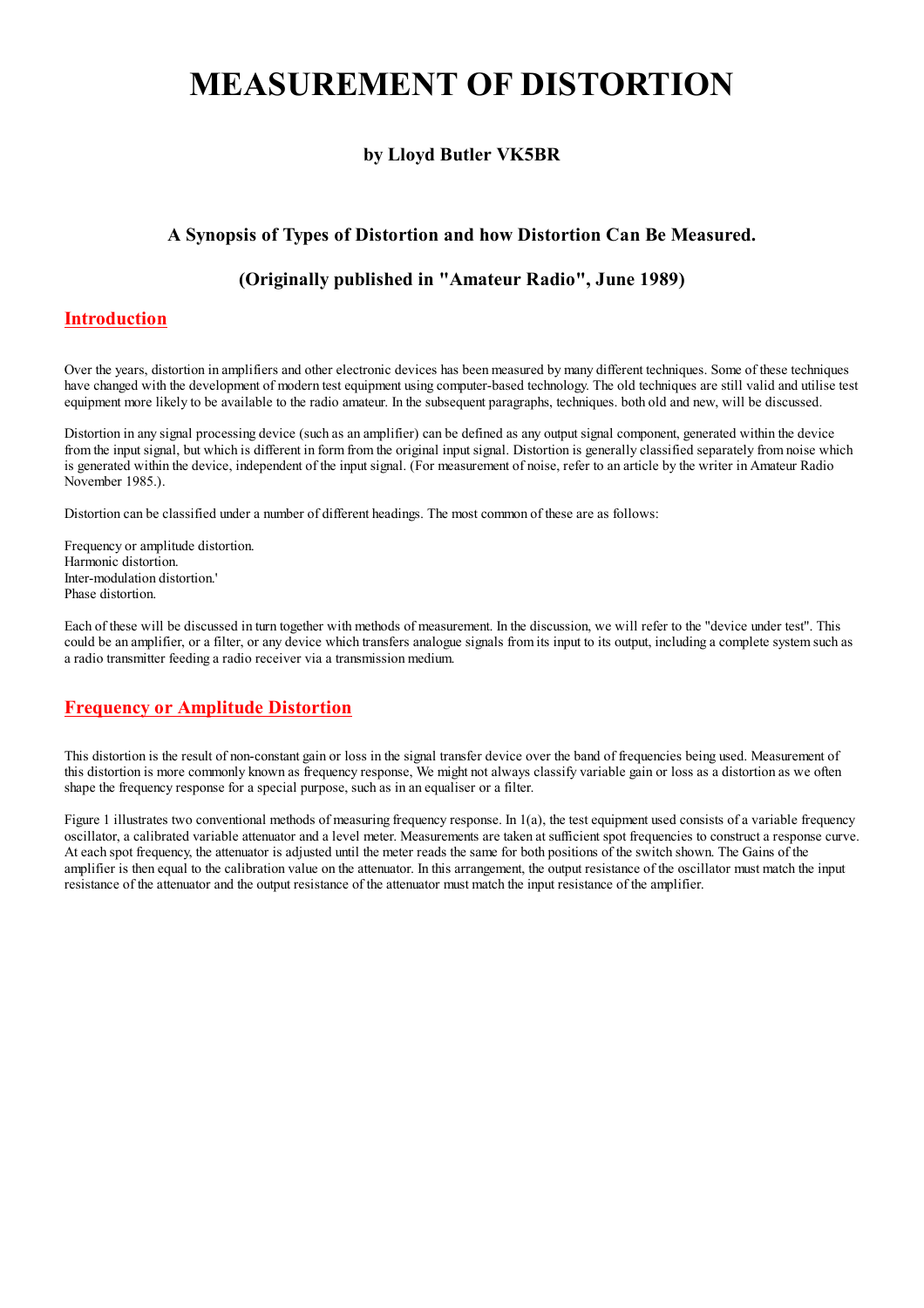# **MEASUREMENT OF DISTORTION**

# by Lloyd Butler VK5BR

# A Synopsis of Types of Distortion and how Distortion Can Be Measured.

## (Originally published in "Amateur Radio", June 1989)

#### **Introduction**

Over the years, distortion in amplifiers and other electronic devices has been measured by many different techniques. Some of these techniques have changed with the development of modern test equipment using computer-based technology. The old techniques are still valid and utilise test equipment more likely to be available to the radio amateur. In the subsequent paragraphs, techniques, both old and new, will be discussed.

Distortion in any signal processing device (such as an amplifier) can be defined as any output signal component, generated within the device from the input signal, but which is different in form from the original input signal. Distortion is generally classified separately from noise which is generated within the device, independent of the input signal. (For measurement of noise, refer to an article by the writer in Amateur Radio November 1985.).

Distortion can be classified under a number of different headings. The most common of these are as follows:

Frequency or amplitude distortion. Harmonic distortion. Inter-modulation distortion. Phase distortion.

Each of these will be discussed in turn together with methods of measurement. In the discussion, we will refer to the "device under test". This could be an amplifier, or a filter, or any device which transfers analogue signals from its input to its output, including a complete system such as a radio transmitter feeding a radio receiver via a transmission medium.

## **Frequency or Amplitude Distortion**

This distortion is the result of non-constant gain or loss in the signal transfer device over the band of frequencies being used. Measurement of this distortion is more commonly known as frequency response. We might not always classify variable gain or loss as a distortion as we often shape the frequency response for a special purpose, such as in an equaliser or a filter.

Figure 1 illustrates two conventional methods of measuring frequency response. In  $1(a)$ , the test equipment used consists of a variable frequency oscillator, a calibrated variable attenuator and a level meter. Measurements are taken at sufficient spot frequencies to construct a response curve. At each spot frequency, the attenuator is adjusted until the meter reads the same for both positions of the switch shown. The Gains of the amplifier is then equal to the calibration value on the attenuator. In this arrangement, the output resistance of the oscillator must match the input resistance of the attenuator and the output resistance of the attenuator must match the input resistance of the amplifier.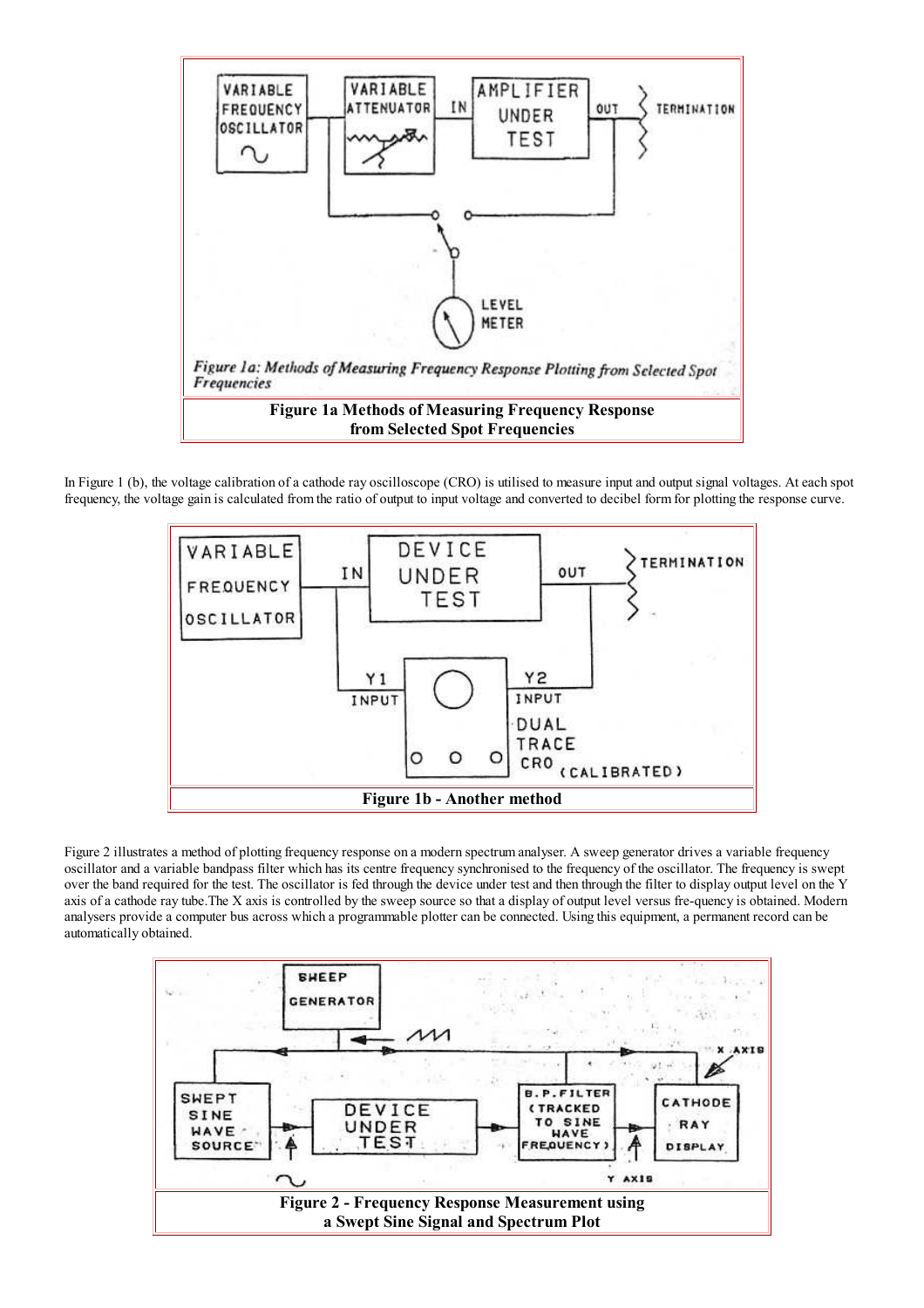

In Figure 1 (b), the voltage calibration of a cathode ray oscilloscope  $(CRO)$  is utilised to measure input and output signal voltages. At each spot frequency, the voltage gain is calculated from the ratio of output to input voltage and converted to decibel form for plotting the response curve.



Figure 2 illustrates a method of plotting frequency response on a modern spectrum analyser. A sweep generator drives a variable frequency oscillator and a variable bandpass filter which has its centre frequency synchronised to the frequency of the oscillator. The frequency is swept over the band required for the test. The oscillator is fed through the device under test and then through the filter to display output level on the Y axis of a cathode ray tube. The X axis is controlled by the sweep source so that a display of output level versus fre-quency is obtained. Modern analysers provide a computer bus across which a programmable plotter can be connected. Using this equipment, a permanent record can be automatically obtained.

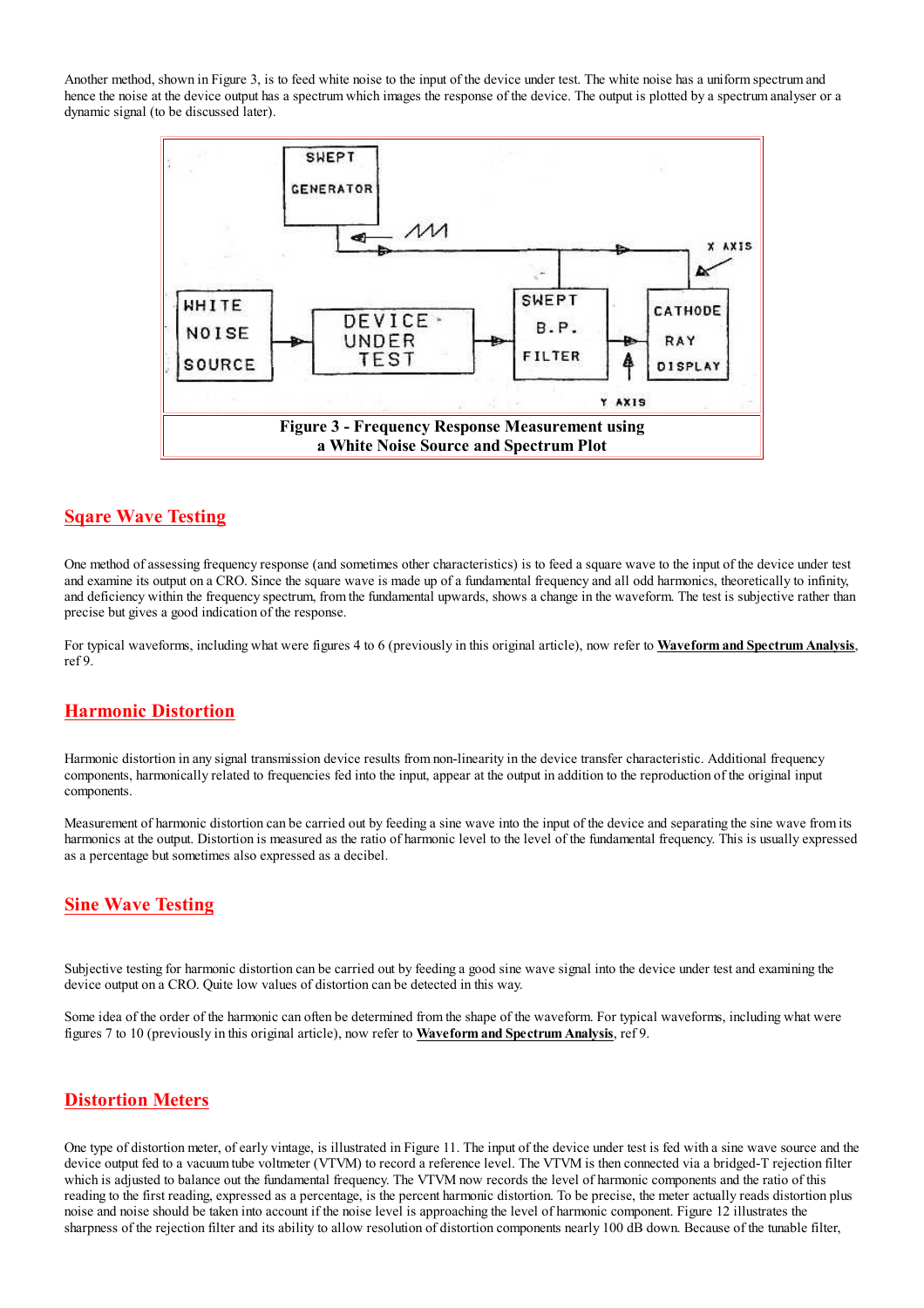Another method, shown in Figure 3, is to feed white noise to the input of the device under test. The white noise has a uniform spectrum and hence the noise at the device output has a spectrum which images the response of the device. The output is plotted by a spectrum analyser or a dynamic signal (to be discussed later).



# **Sqare Wave Testing**

One method of assessing frequency response (and sometimes other characteristics) is to feed a square wave to the input of the device under test and examine its output on a CRO. Since the square wave is made up of a fundamental frequency and all odd harmonics, theoretically to infinity. and deficiency within the frequency spectrum, from the fundamental upwards, shows a change in the waveform. The test is subjective rather than precise but gives a good indication of the response.

For typical waveforms, including what were figures 4 to 6 (previously in this original article), now refer to Waveform and Spectrum Analysis,  $ref9$ 

#### **Harmonic Distortion**

Harmonic distortion in any signal transmission device results from non-linearity in the device transfer characteristic. Additional frequency components, harmonically related to frequencies fed into the input, appear at the output in addition to the reproduction of the original input components.

Measurement of harmonic distortion can be carried out by feeding a sine wave into the input of the device and separating the sine wave from its harmonics at the output. Distortion is measured as the ratio of harmonic level to the level of the fundamental frequency. This is usually expressed as a percentage but sometimes also expressed as a decibel.

## **Sine Wave Testing**

Subjective testing for harmonic distortion can be carried out by feeding a good sine wave signal into the device under test and examining the device output on a CRO. Quite low values of distortion can be detected in this way.

Some idea of the order of the harmonic can often be determined from the shape of the waveform. For typical waveforms, including what were figures 7 to 10 (previously in this original article), now refer to **Waveform and Spectrum Analysis**, ref 9.

# **Distortion Meters**

One type of distortion meter, of early vintage, is illustrated in Figure 11. The input of the device under test is fed with a sine wave source and the device output fed to a vacuum tube voltmeter (VTVM) to record a reference level. The VTVM is then connected via a bridged-T rejection filter which is adjusted to balance out the fundamental frequency. The VTVM now records the level of harmonic components and the ratio of this reading to the first reading, expressed as a percentage, is the percent harmonic distortion. To be precise, the meter actually reads distortion plus noise and noise should be taken into account if the noise level is approaching the level of harmonic component. Figure 12 illustrates the sharpness of the rejection filter and its ability to allow resolution of distortion components nearly 100 dB down. Because of the tunable filter,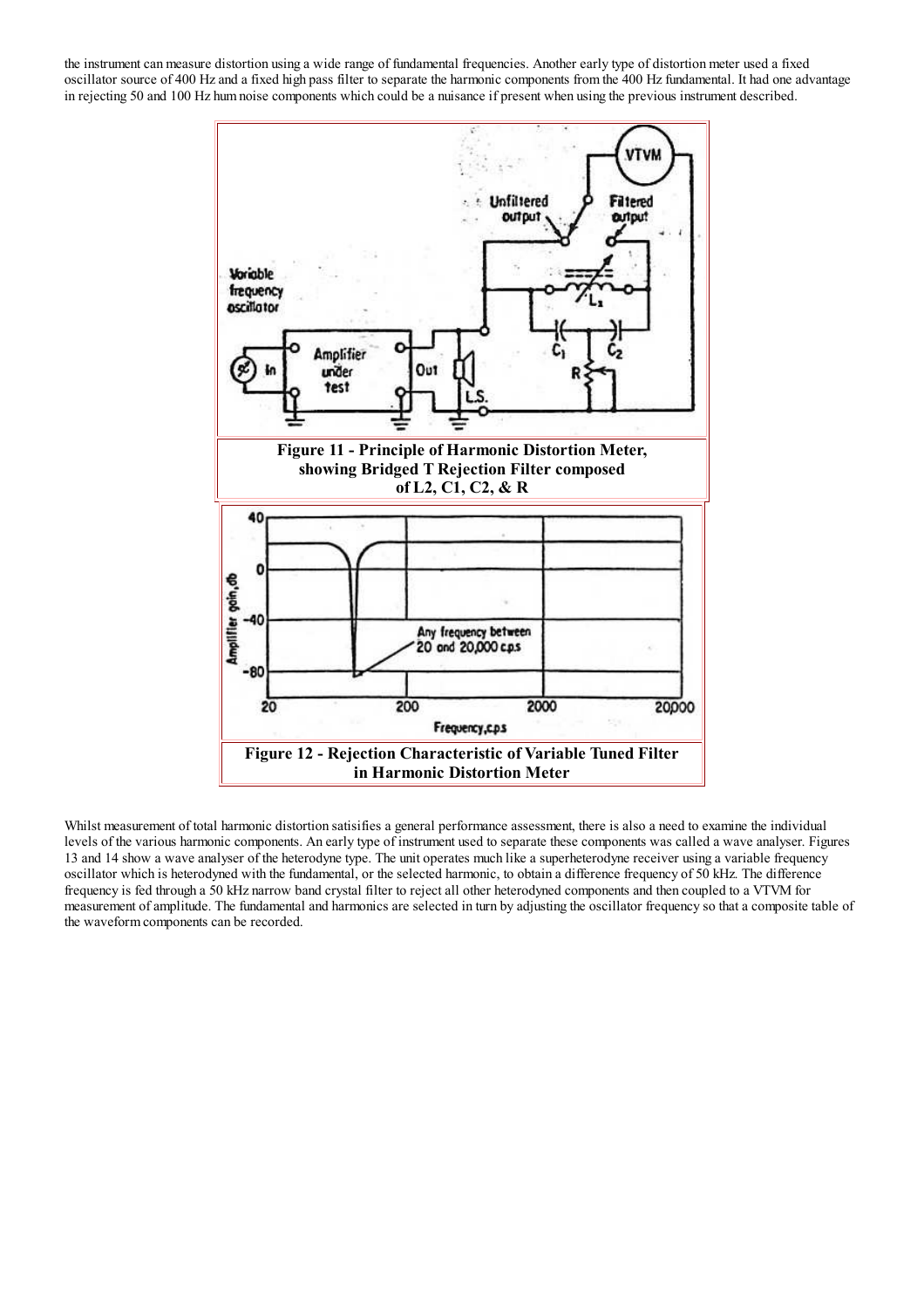the instrument can measure distortion using a wide range of fundamental frequencies. Another early type of distortion meter used a fixed oscillator source of 400 Hz and a fixed high pass filter to separate the harmonic components from the 400 Hz fundamental. It had one advantage in rejecting 50 and 100 Hz hum noise components which could be a nuisance if present when using the previous instrument described.



Whilst measurement of total harmonic distortion satisifies a general performance assessment, there is also a need to examine the individual levels of the various harmonic components. An early type of instrument used to separate these components was called a wave analyser. Figures 13 and 14 show a wave analyser of the heterodyne type. The unit operates much like a superheterodyne receiver using a variable frequency oscillator which is heterodyned with the fundamental, or the selected harmonic, to obtain a difference frequency of 50 kHz. The difference frequency is fed through a 50 kHz narrow band crystal filter to reject all other heterodyned components and then coupled to a VTVM for measurement of amplitude. The fundamental and harmonics are selected in turn by adjusting the oscillator frequency so that a composite table of the waveform components can be recorded.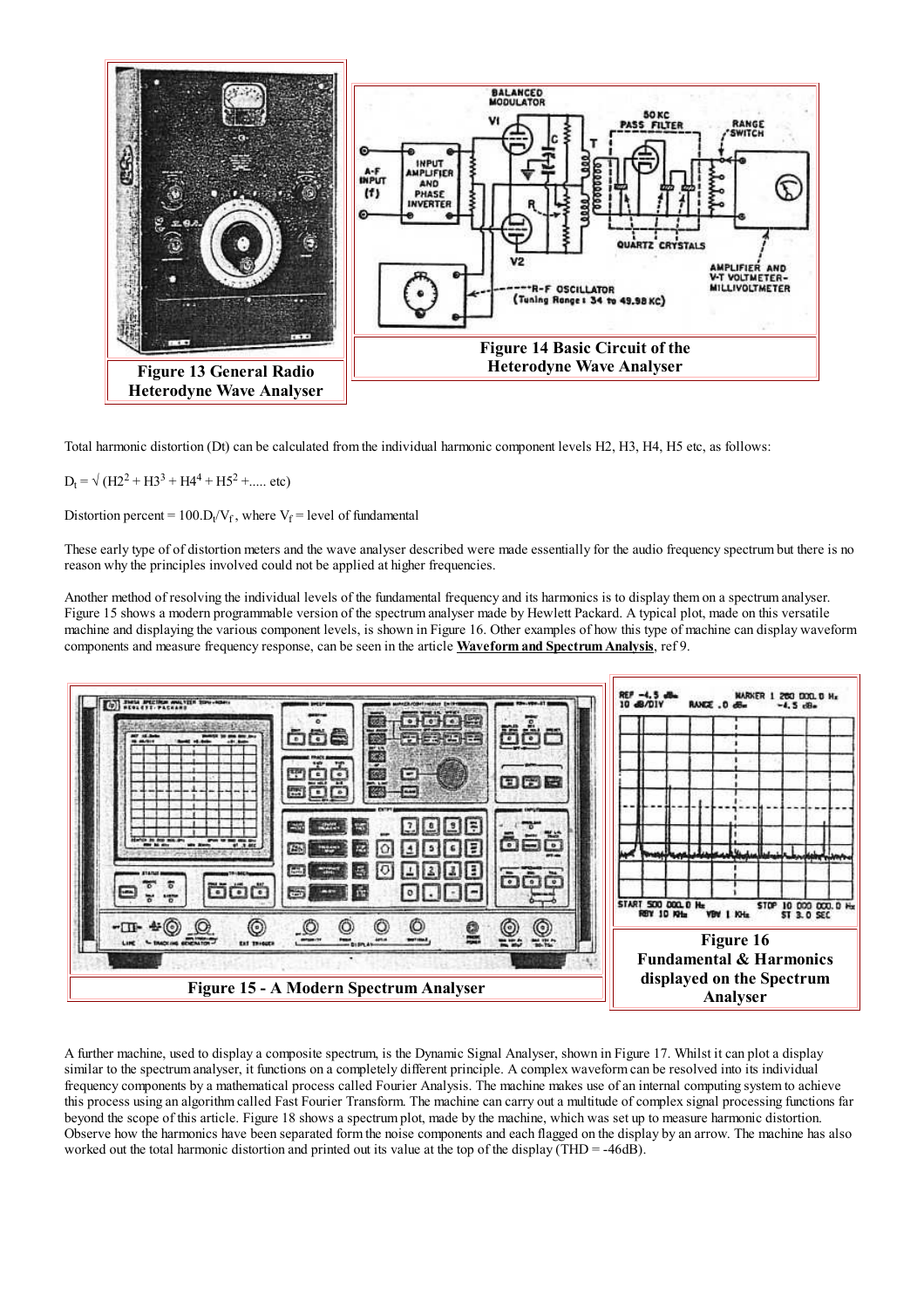

Total harmonic distortion (Dt) can be calculated from the individual harmonic component levels H2, H3, H4, H5 etc, as follows:

 $D_t = \sqrt{(H2^2 + H3^2 + H4^4 + H5^2 + \dots \text{ etc})}$ 

Distortion percent =  $100 \text{.} D_f/V_f$ , where  $V_f$  = level of fundamental

These early type of of distortion meters and the wave analyser described were made essentially for the audio frequency spectrum but there is no reason why the principles involved could not be applied at higher frequencies.

Another method of resolving the individual levels of the fundamental frequency and its harmonics is to display them on a spectrum analyser. Figure 15 shows a modern programmable version of the spectrum analyser made by Hewlett Packard. A typical plot, made on this versatile machine and displaying the various component levels, is shown in Figure 16. Other examples of how this type of machine can display waveform components and measure frequency response, can be seen in the article Waveform and Spectrum Analysis, ref 9.



A further machine, used to display a composite spectrum, is the Dynamic Signal Analyser, shown in Figure 17. Whilst it can plot a display similar to the spectrum analyser, it functions on a completely different principle. A complex waveform can be resolved into its individual frequency components by a mathematical process called Fourier Analysis. The machine makes use of an internal computing system to achieve this process using an algorithm called Fast Fourier Transform. The machine can carry out a multitude of complex signal processing functions far beyond the scope of this article. Figure 18 shows a spectrum plot, made by the machine, which was set up to measure harmonic distortion. Observe how the harmonics have been separated form the noise components and each flagged on the display by an arrow. The machine has also worked out the total harmonic distortion and printed out its value at the top of the display (THD =  $-46dB$ ).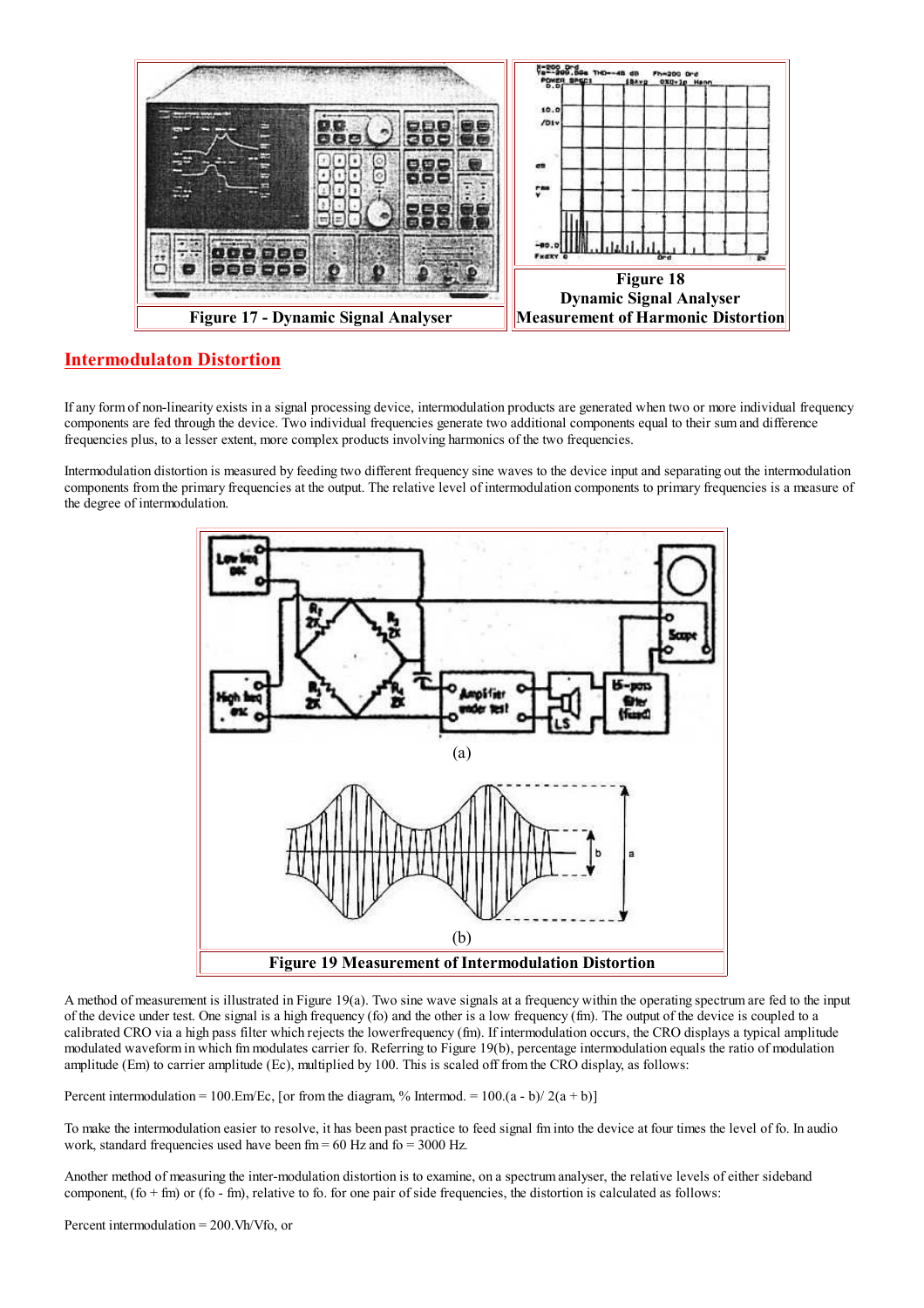

# **Intermodulaton Distortion**

If any form of non-linearity exists in a signal processing device, intermodulation products are generated when two or more individual frequency components are fed through the device. Two individual frequencies generate two additional components equal to their sum and difference frequencies plus, to a lesser extent, more complex products involving harmonics of the two frequencies.

Intermodulation distortion is measured by feeding two different frequency sine waves to the device input and separating out the intermodulation components from the primary frequencies at the output. The relative level of intermodulation components to primary frequencies is a measure of the degree of intermodulation.



A method of measurement is illustrated in Figure 19(a). Two sine wave signals at a frequency within the operating spectrum are fed to the input of the device under test. One signal is a high frequency (fo) and the other is a low frequency  $(\text{fm})$ . The output of the device is coupled to a calibrated CRO via a high pass filter which rejects the lowerfrequency (fm). If intermodulation occurs, the CRO displays a typical amplitude modulated waveform in which fm modulates carrier fo. Referring to Figure 19(b), percentage intermodulation equals the ratio of modulation amplitude (Em) to carrier amplitude (Ec), multiplied by 100. This is scaled off from the CRO display, as follows:

Percent intermodulation = 100.Em/Ec, [or from the diagram, % Intermod. =  $100.(a - b)/2(a + b)$ ]

To make the intermodulation easier to resolve, it has been past practice to feed signal fm into the device at four times the level of fo. In audio work, standard frequencies used have been fm =  $60$  Hz and fo = 3000 Hz.

Another method of measuring the inter-modulation distortion is to examine, on a spectrum analyser, the relative levels of either sideband component,  $(fo + fm)$  or  $(fo - fm)$ , relative to fo. for one pair of side frequencies, the distortion is calculated as follows: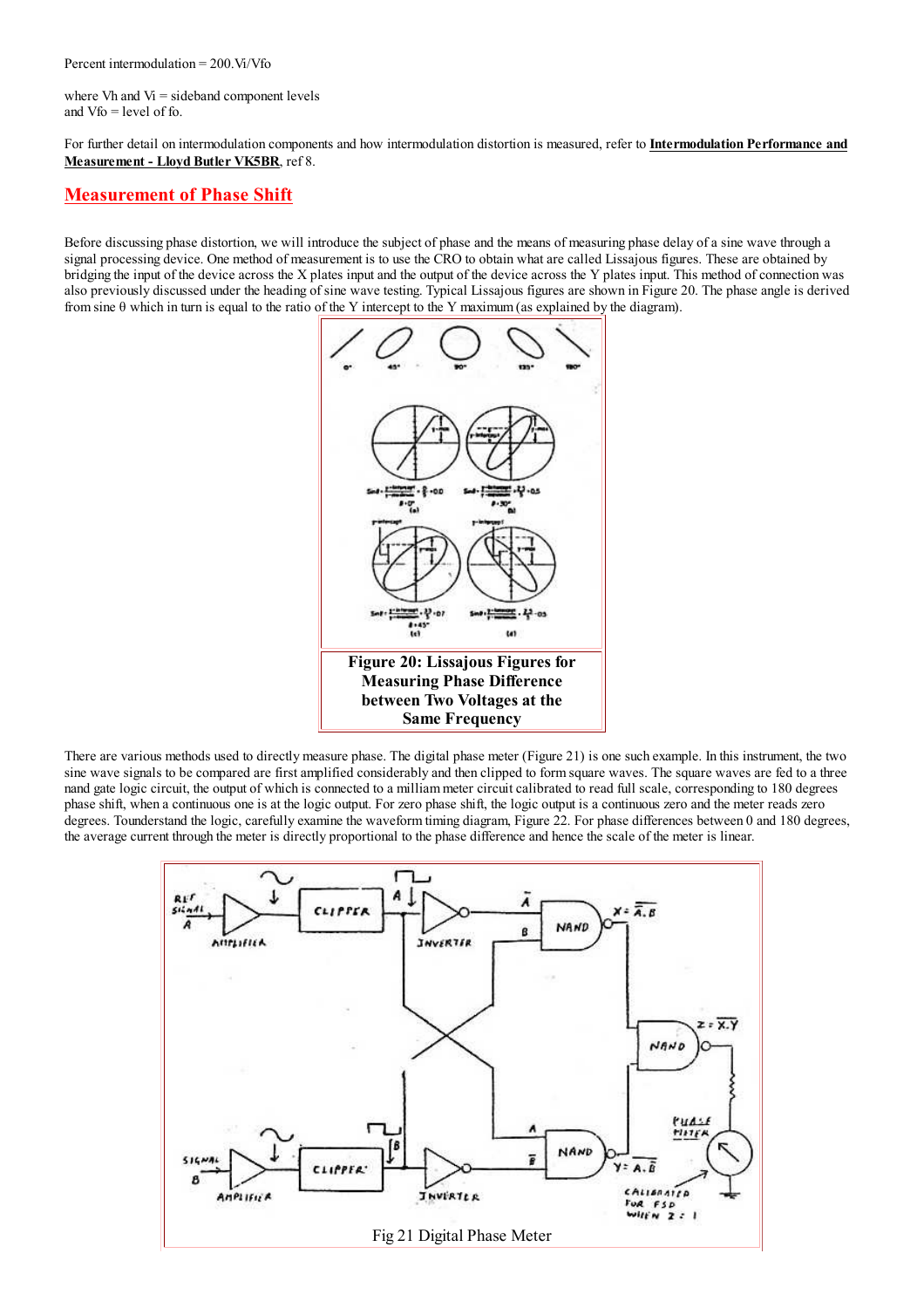where Vh and Vi = sideband component levels and  $Vf_0 = level of f_0$ 

For further detail on intermodulation components and how intermodulation distortion is measured, refer to Intermodulation Performance and Measurement - Lloyd Butler VK5BR, ref 8.

#### **Measurement of Phase Shift**

Before discussing phase distortion, we will introduce the subject of phase and the means of measuring phase delay of a sine wave through a signal processing device. One method of measurement is to use the CRO to obtain what are called Lissajous figures. These are obtained by bridging the input of the device across the X plates input and the output of the device across the Y plates input. This method of connection was also previously discussed under the heading of sine wave testing. Typical Lissajous figures are shown in Figure 20. The phase angle is derived from sine  $\theta$  which in turn is equal to the ratio of the Y intercept to the Y maximum (as explained by the diagram).



There are various methods used to directly measure phase. The digital phase meter (Figure 21) is one such example. In this instrument, the two sine wave signals to be compared are first amplified considerably and then clipped to form square waves. The square waves are fed to a three nand gate logic circuit, the output of which is connected to a milliam meter circuit calibrated to read full scale, corresponding to 180 degrees phase shift, when a continuous one is at the logic output. For zero phase shift, the logic output is a continuous zero and the meter reads zero degrees. Tounderstand the logic, carefully examine the waveform timing diagram, Figure 22. For phase differences between 0 and 180 degrees, the average current through the meter is directly proportional to the phase difference and hence the scale of the meter is linear.

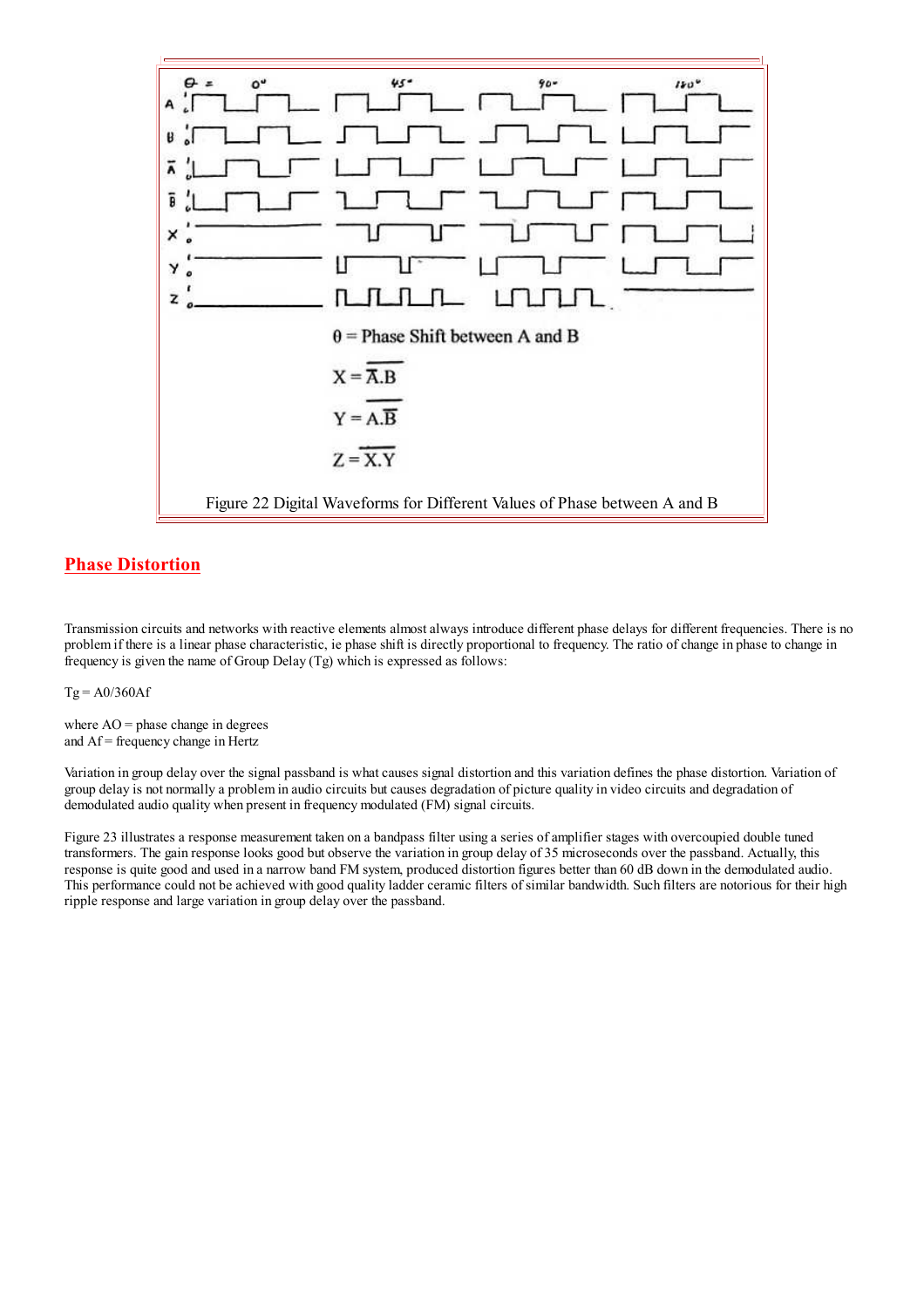

# **Phase Distortion**

Transmission circuits and networks with reactive elements almost always introduce different phase delays for different frequencies. There is no problem if there is a linear phase characteristic, ie phase shift is directly proportional to frequency. The ratio of change in phase to change in frequency is given the name of Group Delay  $(Tg)$  which is expressed as follows:

 $Tg = A0/360Af$ 

where  $AO =$  phase change in degrees and  $Af = frequency change in Hertz$ 

Variation in group delay over the signal passband is what causes signal distortion and this variation defines the phase distortion. Variation of group delay is not normally a problem in audio circuits but causes degradation of picture quality in video circuits and degradation of demodulated audio quality when present in frequency modulated (FM) signal circuits.

Figure 23 illustrates a response measurement taken on a bandpass filter using a series of amplifier stages with overcoupied double tuned transformers. The gain response looks good but observe the variation in group delay of 35 microseconds over the passband. Actually, this response is quite good and used in a narrow band FM system, produced distortion figures better than 60 dB down in the demodulated audio. This performance could not be achieved with good quality ladder ceramic filters of similar bandwidth. Such filters are notorious for their high ripple response and large variation in group delay over the passband.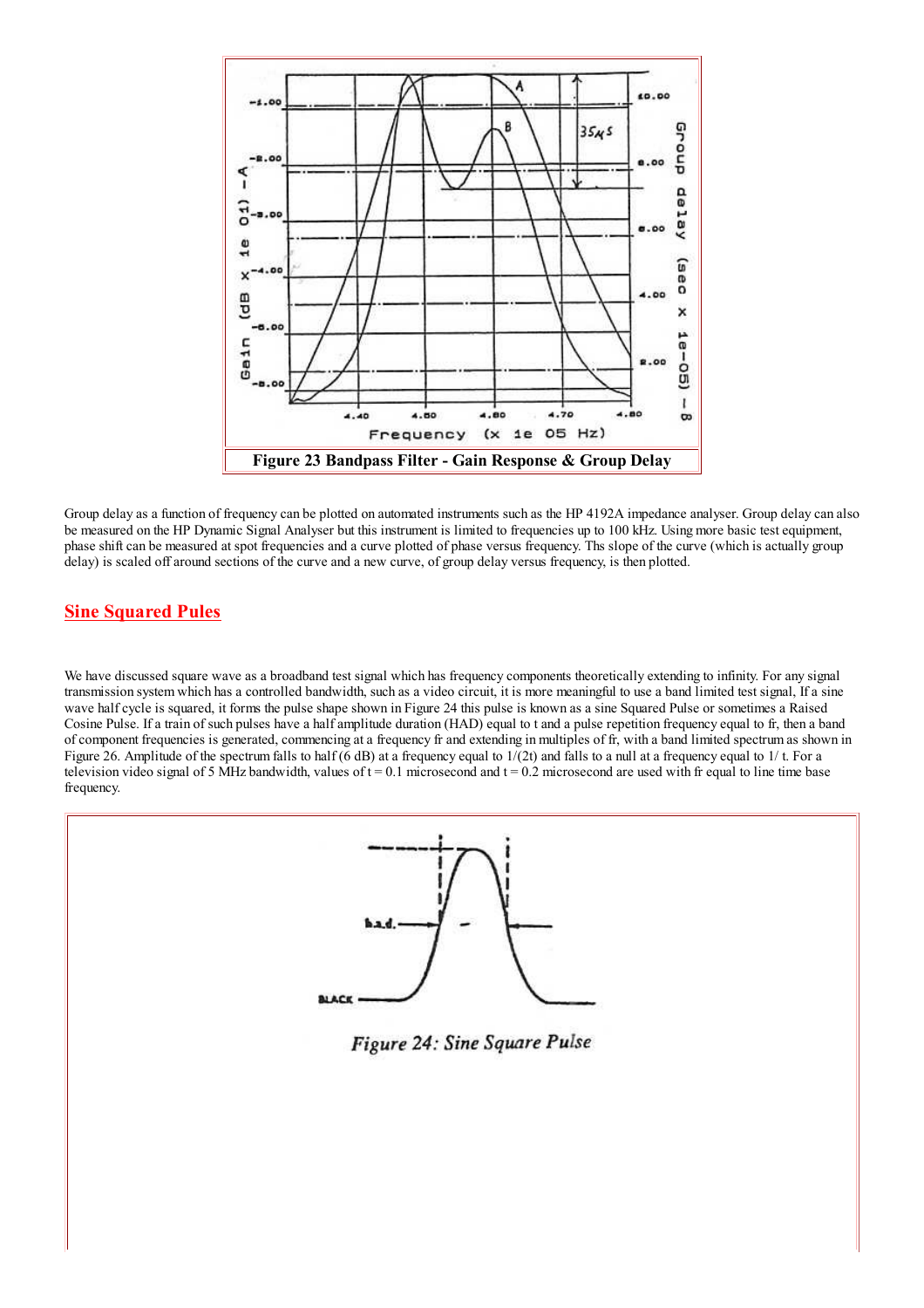

Group delay as a function of frequency can be plotted on automated instruments such as the HP 4192A impedance analyser. Group delay can also be measured on the HP Dynamic Signal Analyser but this instrument is limited to frequencies up to 100 kHz. Using more basic test equipment, phase shift can be measured at spot frequencies and a curve plotted of phase versus frequency. Ths slope of the curve (which is actually group delay) is scaled off around sections of the curve and a new curve, of group delay versus frequency, is then plotted.

## **Sine Squared Pules**

We have discussed square wave as a broadband test signal which has frequency components theoretically extending to infinity. For any signal transmission system which has a controlled bandwidth, such as a video circuit, it is more meaningful to use a band limited test signal, If a sine wave half cycle is squared, it forms the pulse shape shown in Figure 24 this pulse is known as a sine Squared Pulse or sometimes a Raised Cosine Pulse. If a train of such pulses have a half amplitude duration (HAD) equal to t and a pulse repetition frequency equal to fr, then a band of component frequencies is generated, commencing at a frequency fr and extending in multiples of fr, with a band limited spectrum as shown in Figure 26. Amplitude of the spectrum falls to half (6 dB) at a frequency equal to  $1/(2t)$  and falls to a null at a frequency equal to  $1/t$ . For a television video signal of 5 MHz bandwidth, values of  $t = 0.1$  microsecond and  $t = 0.2$  microsecond are used with fr equal to line time base frequency.

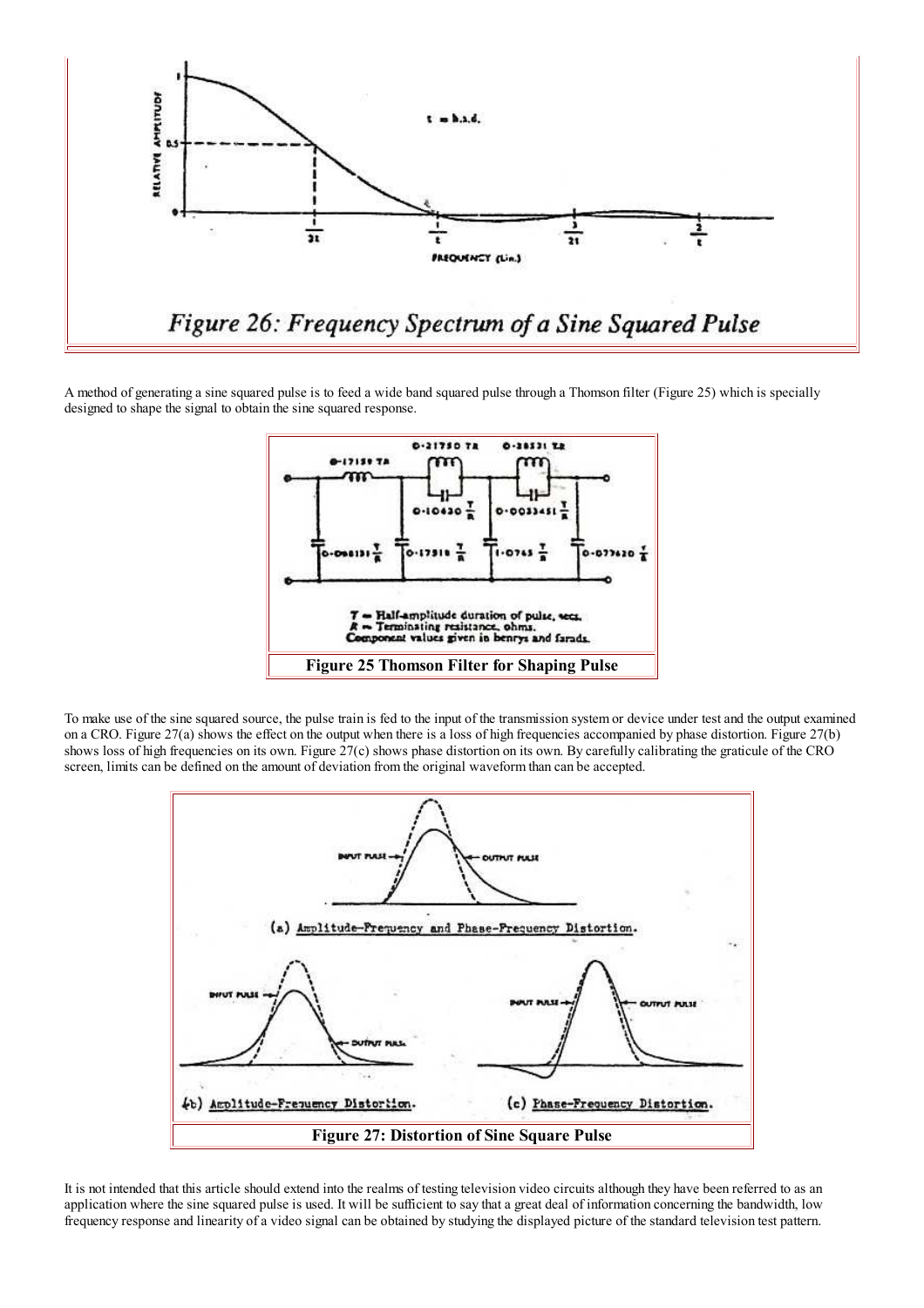

A method of generating a sine squared pulse is to feed a wide band squared pulse through a Thomson filter (Figure 25) which is specially designed to shape the signal to obtain the sine squared response.



To make use of the sine squared source, the pulse train is fed to the input of the transmission system or device under test and the output examined on a CRO. Figure  $27(a)$  shows the effect on the output when there is a loss of high frequencies accompanied by phase distortion. Figure  $27(b)$ shows loss of high frequencies on its own. Figure 27(c) shows phase distortion on its own. By carefully calibrating the graticule of the CRO screen, limits can be defined on the amount of deviation from the original waveform than can be accepted.



It is not intended that this article should extend into the realms of testing television video circuits although they have been referred to as an application where the sine squared pulse is used. It will be sufficient to say that a great deal of information concerning the bandwidth, low frequency response and linearity of a video signal can be obtained by studying the displayed picture of the standard television test pattern.